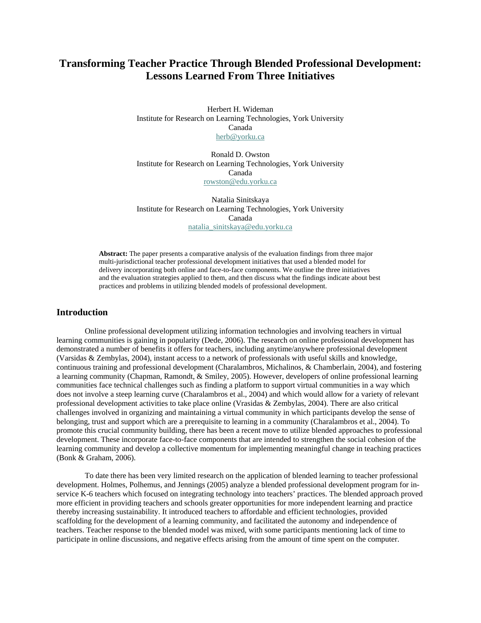# **Transforming Teacher Practice Through Blended Professional Development: Lessons Learned From Three Initiatives**

Herbert H. Wideman Institute for Research on Learning Technologies, York University Canada [herb@yorku.ca](mailto:herb@yorku.ca)

Ronald D. Owston Institute for Research on Learning Technologies, York University Canada [rowston@edu.yorku.ca](mailto:rowston@edu.yorku.ca)

Natalia Sinitskaya Institute for Research on Learning Technologies, York University Canada [natalia\\_sinitskaya@edu.yorku.ca](mailto:natalia_sinitskaya@edu.yorku.ca)

**Abstract:** The paper presents a comparative analysis of the evaluation findings from three major multi-jurisdictional teacher professional development initiatives that used a blended model for delivery incorporating both online and face-to-face components. We outline the three initiatives and the evaluation strategies applied to them, and then discuss what the findings indicate about best practices and problems in utilizing blended models of professional development.

## **Introduction**

Online professional development utilizing information technologies and involving teachers in virtual learning communities is gaining in popularity (Dede, 2006). The research on online professional development has demonstrated a number of benefits it offers for teachers, including anytime/anywhere professional development (Varsidas & Zembylas, 2004), instant access to a network of professionals with useful skills and knowledge, continuous training and professional development (Charalambros, Michalinos, & Chamberlain, 2004), and fostering a learning community (Chapman, Ramondt, & Smiley, 2005). However, developers of online professional learning communities face technical challenges such as finding a platform to support virtual communities in a way which does not involve a steep learning curve (Charalambros et al., 2004) and which would allow for a variety of relevant professional development activities to take place online (Vrasidas & Zembylas, 2004). There are also critical challenges involved in organizing and maintaining a virtual community in which participants develop the sense of belonging, trust and support which are a prerequisite to learning in a community (Charalambros et al., 2004). To promote this crucial community building, there has been a recent move to utilize blended approaches to professional development. These incorporate face-to-face components that are intended to strengthen the social cohesion of the learning community and develop a collective momentum for implementing meaningful change in teaching practices (Bonk & Graham, 2006).

To date there has been very limited research on the application of blended learning to teacher professional development. Holmes, Polhemus, and Jennings (2005) analyze a blended professional development program for inservice K-6 teachers which focused on integrating technology into teachers' practices. The blended approach proved more efficient in providing teachers and schools greater opportunities for more independent learning and practice thereby increasing sustainability. It introduced teachers to affordable and efficient technologies, provided scaffolding for the development of a learning community, and facilitated the autonomy and independence of teachers. Teacher response to the blended model was mixed, with some participants mentioning lack of time to participate in online discussions, and negative effects arising from the amount of time spent on the computer.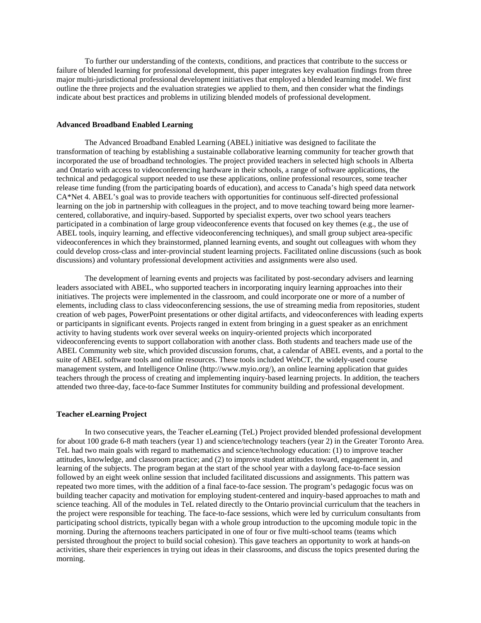To further our understanding of the contexts, conditions, and practices that contribute to the success or failure of blended learning for professional development, this paper integrates key evaluation findings from three major multi-jurisdictional professional development initiatives that employed a blended learning model. We first outline the three projects and the evaluation strategies we applied to them, and then consider what the findings indicate about best practices and problems in utilizing blended models of professional development.

#### **Advanced Broadband Enabled Learning**

The Advanced Broadband Enabled Learning (ABEL) initiative was designed to facilitate the transformation of teaching by establishing a sustainable collaborative learning community for teacher growth that incorporated the use of broadband technologies. The project provided teachers in selected high schools in Alberta and Ontario with access to videoconferencing hardware in their schools, a range of software applications, the technical and pedagogical support needed to use these applications, online professional resources, some teacher release time funding (from the participating boards of education), and access to Canada's high speed data network CA\*Net 4. ABEL's goal was to provide teachers with opportunities for continuous self-directed professional learning on the job in partnership with colleagues in the project, and to move teaching toward being more learnercentered, collaborative, and inquiry-based. Supported by specialist experts, over two school years teachers participated in a combination of large group videoconference events that focused on key themes (e.g., the use of ABEL tools, inquiry learning, and effective videoconferencing techniques), and small group subject area-specific videoconferences in which they brainstormed, planned learning events, and sought out colleagues with whom they could develop cross-class and inter-provincial student learning projects. Facilitated online discussions (such as book discussions) and voluntary professional development activities and assignments were also used.

The development of learning events and projects was facilitated by post-secondary advisers and learning leaders associated with ABEL, who supported teachers in incorporating inquiry learning approaches into their initiatives. The projects were implemented in the classroom, and could incorporate one or more of a number of elements, including class to class videoconferencing sessions, the use of streaming media from repositories, student creation of web pages, PowerPoint presentations or other digital artifacts, and videoconferences with leading experts or participants in significant events. Projects ranged in extent from bringing in a guest speaker as an enrichment activity to having students work over several weeks on inquiry-oriented projects which incorporated videoconferencing events to support collaboration with another class. Both students and teachers made use of the ABEL Community web site, which provided discussion forums, chat, a calendar of ABEL events, and a portal to the suite of ABEL software tools and online resources. These tools included WebCT, the widely-used course management system, and Intelligence Online (http://www.myio.org/), an online learning application that guides teachers through the process of creating and implementing inquiry-based learning projects. In addition, the teachers attended two three-day, face-to-face Summer Institutes for community building and professional development.

#### **Teacher eLearning Project**

In two consecutive years, the Teacher eLearning (TeL) Project provided blended professional development for about 100 grade 6-8 math teachers (year 1) and science/technology teachers (year 2) in the Greater Toronto Area. TeL had two main goals with regard to mathematics and science/technology education: (1) to improve teacher attitudes, knowledge, and classroom practice; and (2) to improve student attitudes toward, engagement in, and learning of the subjects. The program began at the start of the school year with a daylong face-to-face session followed by an eight week online session that included facilitated discussions and assignments. This pattern was repeated two more times, with the addition of a final face-to-face session. The program's pedagogic focus was on building teacher capacity and motivation for employing student-centered and inquiry-based approaches to math and science teaching. All of the modules in TeL related directly to the Ontario provincial curriculum that the teachers in the project were responsible for teaching. The face-to-face sessions, which were led by curriculum consultants from participating school districts, typically began with a whole group introduction to the upcoming module topic in the morning. During the afternoons teachers participated in one of four or five multi-school teams (teams which persisted throughout the project to build social cohesion). This gave teachers an opportunity to work at hands-on activities, share their experiences in trying out ideas in their classrooms, and discuss the topics presented during the morning.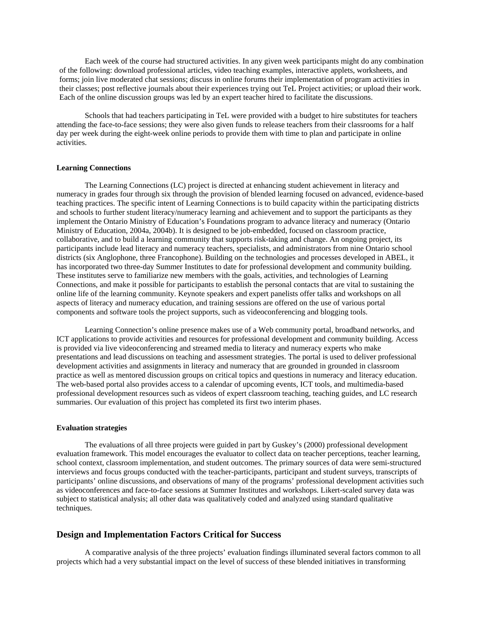Each week of the course had structured activities. In any given week participants might do any combination of the following: download professional articles, video teaching examples, interactive applets, worksheets, and forms; join live moderated chat sessions; discuss in online forums their implementation of program activities in their classes; post reflective journals about their experiences trying out TeL Project activities; or upload their work. Each of the online discussion groups was led by an expert teacher hired to facilitate the discussions.

Schools that had teachers participating in TeL were provided with a budget to hire substitutes for teachers attending the face-to-face sessions; they were also given funds to release teachers from their classrooms for a half day per week during the eight-week online periods to provide them with time to plan and participate in online activities.

#### **Learning Connections**

The Learning Connections (LC) project is directed at enhancing student achievement in literacy and numeracy in grades four through six through the provision of blended learning focused on advanced, evidence-based teaching practices. The specific intent of Learning Connections is to build capacity within the participating districts and schools to further student literacy/numeracy learning and achievement and to support the participants as they implement the Ontario Ministry of Education's Foundations program to advance literacy and numeracy (Ontario Ministry of Education, 2004a, 2004b). It is designed to be job-embedded, focused on classroom practice, collaborative, and to build a learning community that supports risk-taking and change. An ongoing project, its participants include lead literacy and numeracy teachers, specialists, and administrators from nine Ontario school districts (six Anglophone, three Francophone). Building on the technologies and processes developed in ABEL, it has incorporated two three-day Summer Institutes to date for professional development and community building. These institutes serve to familiarize new members with the goals, activities, and technologies of Learning Connections, and make it possible for participants to establish the personal contacts that are vital to sustaining the online life of the learning community. Keynote speakers and expert panelists offer talks and workshops on all aspects of literacy and numeracy education, and training sessions are offered on the use of various portal components and software tools the project supports, such as videoconferencing and blogging tools.

Learning Connection's online presence makes use of a Web community portal, broadband networks, and ICT applications to provide activities and resources for professional development and community building. Access is provided via live videoconferencing and streamed media to literacy and numeracy experts who make presentations and lead discussions on teaching and assessment strategies. The portal is used to deliver professional development activities and assignments in literacy and numeracy that are grounded in grounded in classroom practice as well as mentored discussion groups on critical topics and questions in numeracy and literacy education. The web-based portal also provides access to a calendar of upcoming events, ICT tools, and multimedia-based professional development resources such as videos of expert classroom teaching, teaching guides, and LC research summaries. Our evaluation of this project has completed its first two interim phases.

#### **Evaluation strategies**

The evaluations of all three projects were guided in part by Guskey's (2000) professional development evaluation framework. This model encourages the evaluator to collect data on teacher perceptions, teacher learning, school context, classroom implementation, and student outcomes. The primary sources of data were semi-structured interviews and focus groups conducted with the teacher-participants, participant and student surveys, transcripts of participants' online discussions, and observations of many of the programs' professional development activities such as videoconferences and face-to-face sessions at Summer Institutes and workshops. Likert-scaled survey data was subject to statistical analysis; all other data was qualitatively coded and analyzed using standard qualitative techniques.

## **Design and Implementation Factors Critical for Success**

A comparative analysis of the three projects' evaluation findings illuminated several factors common to all projects which had a very substantial impact on the level of success of these blended initiatives in transforming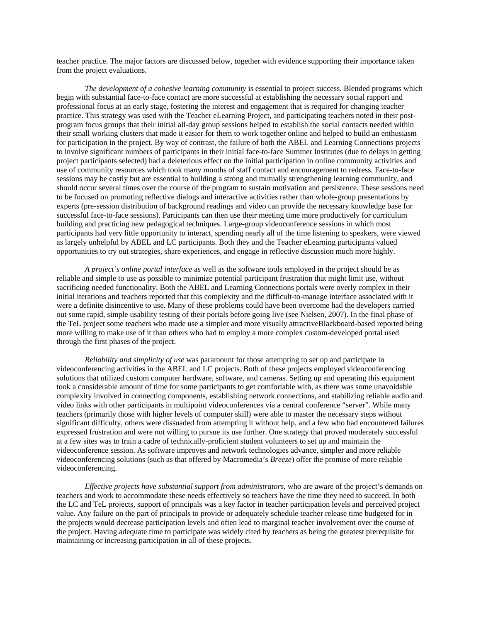teacher practice. The major factors are discussed below, together with evidence supporting their importance taken from the project evaluations.

*The development of a cohesive learning community* is essential to project success. Blended programs which begin with substantial face-to-face contact are more successful at establishing the necessary social rapport and professional focus at an early stage, fostering the interest and engagement that is required for changing teacher practice. This strategy was used with the Teacher eLearning Project, and participating teachers noted in their postprogram focus groups that their initial all-day group sessions helped to establish the social contacts needed within their small working clusters that made it easier for them to work together online and helped to build an enthusiasm for participation in the project. By way of contrast, the failure of both the ABEL and Learning Connections projects to involve significant numbers of participants in their initial face-to-face Summer Institutes (due to delays in getting project participants selected) had a deleterious effect on the initial participation in online community activities and use of community resources which took many months of staff contact and encouragement to redress. Face-to-face sessions may be costly but are essential to building a strong and mutually strengthening learning community, and should occur several times over the course of the program to sustain motivation and persistence. These sessions need to be focused on promoting reflective dialogs and interactive activities rather than whole-group presentations by experts (pre-session distribution of background readings and video can provide the necessary knowledge base for successful face-to-face sessions). Participants can then use their meeting time more productively for curriculum building and practicing new pedagogical techniques. Large-group videoconference sessions in which most participants had very little opportunity to interact, spending nearly all of the time listening to speakers, were viewed as largely unhelpful by ABEL and LC participants. Both they and the Teacher eLearning participants valued opportunities to try out strategies, share experiences, and engage in reflective discussion much more highly.

*A project's online portal interface* as well as the software tools employed in the project should be as reliable and simple to use as possible to minimize potential participant frustration that might limit use, without sacrificing needed functionality. Both the ABEL and Learning Connections portals were overly complex in their initial iterations and teachers reported that this complexity and the difficult-to-manage interface associated with it were a definite disincentive to use. Many of these problems could have been overcome had the developers carried out some rapid, simple usability testing of their portals before going live (see Nielsen, 2007). In the final phase of the TeL project some teachers who made use a simpler and more visually attractiveBlackboard-based reported being more willing to make use of it than others who had to employ a more complex custom-developed portal used through the first phases of the project.

*Reliability and simplicity of use* was paramount for those attempting to set up and participate in videoconferencing activities in the ABEL and LC projects. Both of these projects employed videoconferencing solutions that utilized custom computer hardware, software, and cameras. Setting up and operating this equipment took a considerable amount of time for some participants to get comfortable with, as there was some unavoidable complexity involved in connecting components, establishing network connections, and stabilizing reliable audio and video links with other participants in multipoint videoconferences via a central conference "server". While many teachers (primarily those with higher levels of computer skill) were able to master the necessary steps without significant difficulty, others were dissuaded from attempting it without help, and a few who had encountered failures expressed frustration and were not willing to pursue its use further. One strategy that proved moderately successful at a few sites was to train a cadre of technically-proficient student volunteers to set up and maintain the videoconference session. As software improves and network technologies advance, simpler and more reliable videoconferencing solutions (such as that offered by Macromedia's *Breeze*) offer the promise of more reliable videoconferencing.

*Effective projects have substantial support from administrators*, who are aware of the project's demands on teachers and work to accommodate these needs effectively so teachers have the time they need to succeed. In both the LC and TeL projects, support of principals was a key factor in teacher participation levels and perceived project value. Any failure on the part of principals to provide or adequately schedule teacher release time budgeted for in the projects would decrease participation levels and often lead to marginal teacher involvement over the course of the project. Having adequate time to participate was widely cited by teachers as being the greatest prerequisite for maintaining or increasing participation in all of these projects.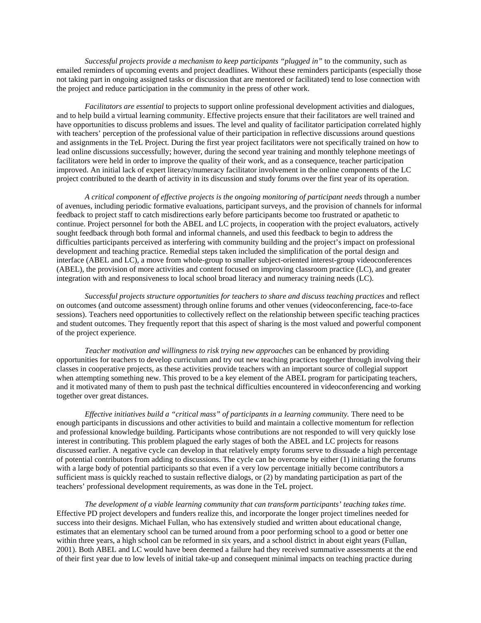*Successful projects provide a mechanism to keep participants "plugged in"* to the community, such as emailed reminders of upcoming events and project deadlines. Without these reminders participants (especially those not taking part in ongoing assigned tasks or discussion that are mentored or facilitated) tend to lose connection with the project and reduce participation in the community in the press of other work.

*Facilitators are essential* to projects to support online professional development activities and dialogues, and to help build a virtual learning community. Effective projects ensure that their facilitators are well trained and have opportunities to discuss problems and issues. The level and quality of facilitator participation correlated highly with teachers' perception of the professional value of their participation in reflective discussions around questions and assignments in the TeL Project. During the first year project facilitators were not specifically trained on how to lead online discussions successfully; however, during the second year training and monthly telephone meetings of facilitators were held in order to improve the quality of their work, and as a consequence, teacher participation improved. An initial lack of expert literacy/numeracy facilitator involvement in the online components of the LC project contributed to the dearth of activity in its discussion and study forums over the first year of its operation.

*A critical component of effective projects is the ongoing monitoring of participant needs* through a number of avenues, including periodic formative evaluations, participant surveys, and the provision of channels for informal feedback to project staff to catch misdirections early before participants become too frustrated or apathetic to continue. Project personnel for both the ABEL and LC projects, in cooperation with the project evaluators, actively sought feedback through both formal and informal channels, and used this feedback to begin to address the difficulties participants perceived as interfering with community building and the project's impact on professional development and teaching practice. Remedial steps taken included the simplification of the portal design and interface (ABEL and LC), a move from whole-group to smaller subject-oriented interest-group videoconferences (ABEL), the provision of more activities and content focused on improving classroom practice (LC), and greater integration with and responsiveness to local school broad literacy and numeracy training needs (LC).

*Successful projects structure opportunities for teachers to share and discuss teaching practices* and reflect on outcomes (and outcome assessment) through online forums and other venues (videoconferencing, face-to-face sessions). Teachers need opportunities to collectively reflect on the relationship between specific teaching practices and student outcomes. They frequently report that this aspect of sharing is the most valued and powerful component of the project experience.

*Teacher motivation and willingness to risk trying new approaches* can be enhanced by providing opportunities for teachers to develop curriculum and try out new teaching practices together through involving their classes in cooperative projects, as these activities provide teachers with an important source of collegial support when attempting something new. This proved to be a key element of the ABEL program for participating teachers, and it motivated many of them to push past the technical difficulties encountered in videoconferencing and working together over great distances.

*Effective initiatives build a "critical mass" of participants in a learning community.* There need to be enough participants in discussions and other activities to build and maintain a collective momentum for reflection and professional knowledge building. Participants whose contributions are not responded to will very quickly lose interest in contributing. This problem plagued the early stages of both the ABEL and LC projects for reasons discussed earlier. A negative cycle can develop in that relatively empty forums serve to dissuade a high percentage of potential contributors from adding to discussions. The cycle can be overcome by either (1) initiating the forums with a large body of potential participants so that even if a very low percentage initially become contributors a sufficient mass is quickly reached to sustain reflective dialogs, or (2) by mandating participation as part of the teachers' professional development requirements, as was done in the TeL project.

*The development of a viable learning community that can transform participants' teaching takes time*. Effective PD project developers and funders realize this, and incorporate the longer project timelines needed for success into their designs. Michael Fullan, who has extensively studied and written about educational change, estimates that an elementary school can be turned around from a poor performing school to a good or better one within three years, a high school can be reformed in six years, and a school district in about eight years (Fullan, 2001). Both ABEL and LC would have been deemed a failure had they received summative assessments at the end of their first year due to low levels of initial take-up and consequent minimal impacts on teaching practice during